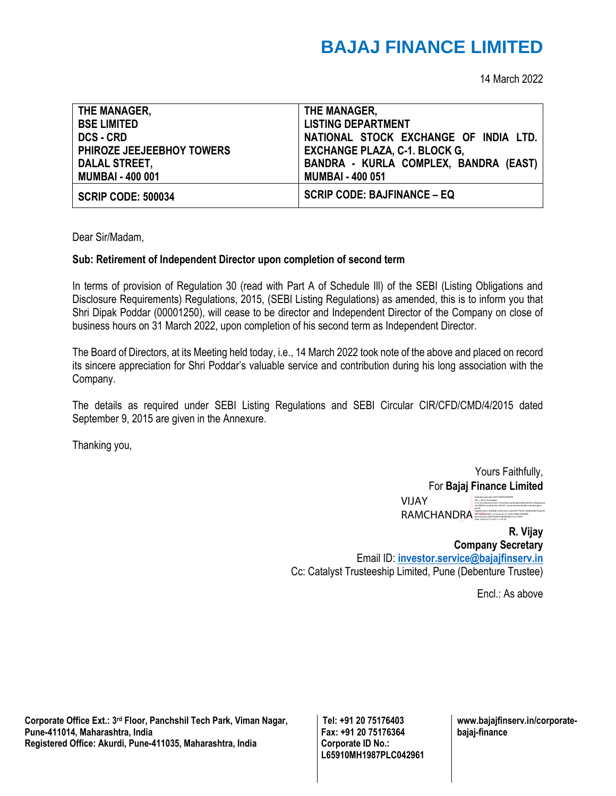## **BAJAJ FINANCE LIMITED**

14 March 2022

| THE MANAGER,                     | THE MANAGER,                          |
|----------------------------------|---------------------------------------|
| <b>BSE LIMITED</b>               | <b>LISTING DEPARTMENT</b>             |
| <b>DCS - CRD</b>                 | NATIONAL STOCK EXCHANGE OF INDIA LTD. |
| <b>PHIROZE JEEJEEBHOY TOWERS</b> | <b>EXCHANGE PLAZA, C-1. BLOCK G,</b>  |
| <b>DALAL STREET,</b>             | BANDRA - KURLA COMPLEX, BANDRA (EAST) |
| <b>MUMBAI - 400 001</b>          | <b>MUMBAI - 400 051</b>               |
| <b>SCRIP CODE: 500034</b>        | <b>SCRIP CODE: BAJFINANCE – EQ</b>    |

Dear Sir/Madam,

## **Sub: Retirement of Independent Director upon completion of second term**

In terms of provision of Regulation 30 (read with Part A of Schedule Ill) of the SEBI (Listing Obligations and Disclosure Requirements) Regulations, 2015, (SEBI Listing Regulations) as amended, this is to inform you that Shri Dipak Poddar (00001250), will cease to be director and Independent Director of the Company on close of business hours on 31 March 2022, upon completion of his second term as Independent Director.

The Board of Directors, at its Meeting held today, i.e., 14 March 2022 took note of the above and placed on record its sincere appreciation for Shri Poddar's valuable service and contribution during his long association with the Company.

The details as required under SEBI Listing Regulations and SEBI Circular CIR/CFD/CMD/4/2015 dated September 9, 2015 are given in the Annexure.

Thanking you,

Yours Faithfully, For **Bajaj Finance Limited** VIJAY Digitally signed by VIJAY RAMCHANDRA DN: c=IN, st=Karnataka, 2.5.4.20=64bc3edc7e65172c0a53beca53faa863408256acf57c096ad0ecad 64c4f843fa, postalCode=560027, street=behind double road banglore

 $RAMCHANDBA$ serialNumber=fc8684b15269c625c72aa7633770e8c160d844db57fa2ef22 4f0cee0a8c26d0e, o=Personal, cn=VIJAY RAMCHANDRA, pseudonym=a6027f4d5e624bffebb9b161671cff9c Date: 2022.03.14 16:47:11 +05'30'

**R. Vijay Company Secretary** Email ID: **[investor.service@bajajfinserv.in](mailto:investor.service@bajajfinserv.in)** Cc: Catalyst Trusteeship Limited, Pune (Debenture Trustee)

Encl.: As above

**Corporate Office Ext.: 3rd Floor, Panchshil Tech Park, Viman Nagar, Pune-411014, Maharashtra, India Registered Office: Akurdi, Pune-411035, Maharashtra, India** 

**Tel: +91 20 75176403 Fax: +91 20 75176364 Corporate ID No.: L65910MH1987PLC042961**

**www.bajajfinserv.in/corporatebajaj-finance**